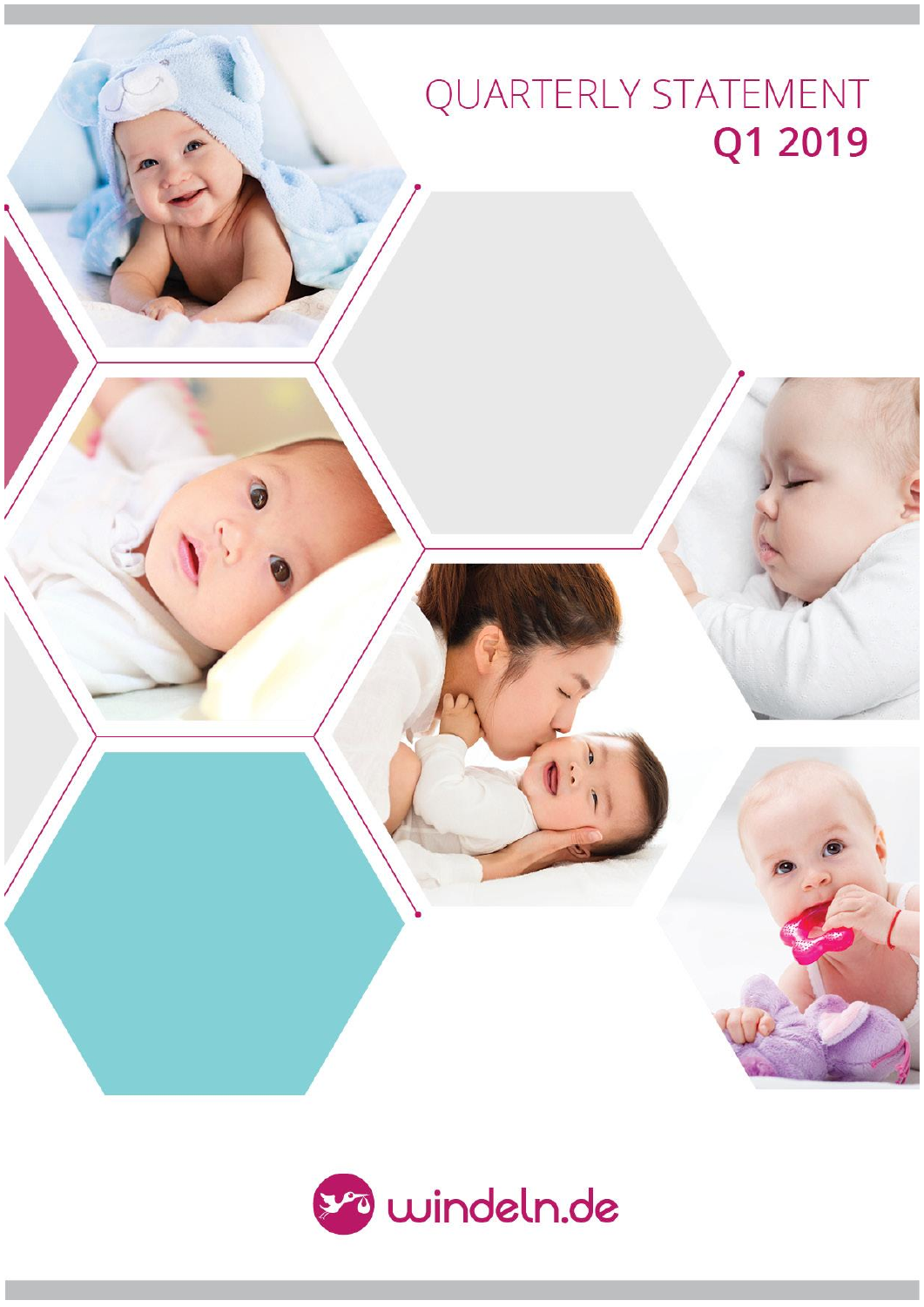# QUARTERLY STATEMENT Q1 2019

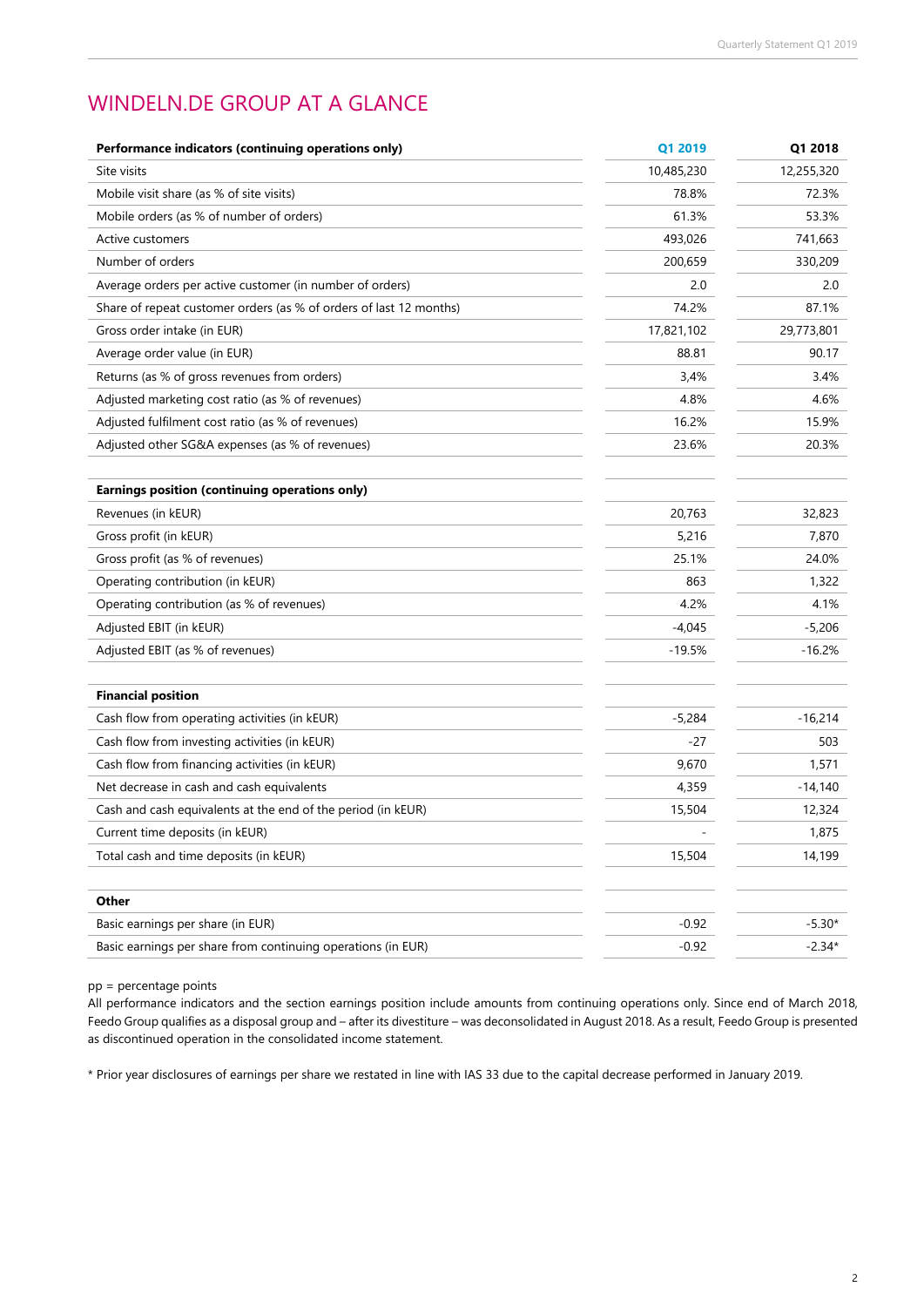### WINDELN.DE GROUP AT A GLANCE

| Performance indicators (continuing operations only)                | Q1 2019    | Q1 2018    |
|--------------------------------------------------------------------|------------|------------|
| Site visits                                                        | 10,485,230 | 12,255,320 |
| Mobile visit share (as % of site visits)                           | 78.8%      | 72.3%      |
| Mobile orders (as % of number of orders)                           | 61.3%      | 53.3%      |
| Active customers                                                   | 493,026    | 741,663    |
| Number of orders                                                   | 200,659    | 330,209    |
| Average orders per active customer (in number of orders)           | 2.0        | 2.0        |
| Share of repeat customer orders (as % of orders of last 12 months) | 74.2%      | 87.1%      |
| Gross order intake (in EUR)                                        | 17,821,102 | 29,773,801 |
| Average order value (in EUR)                                       | 88.81      | 90.17      |
| Returns (as % of gross revenues from orders)                       | 3,4%       | 3.4%       |
| Adjusted marketing cost ratio (as % of revenues)                   | 4.8%       | 4.6%       |
| Adjusted fulfilment cost ratio (as % of revenues)                  | 16.2%      | 15.9%      |
| Adjusted other SG&A expenses (as % of revenues)                    | 23.6%      | 20.3%      |
|                                                                    |            |            |
| Earnings position (continuing operations only)                     |            |            |
| Revenues (in kEUR)                                                 | 20,763     | 32,823     |
| Gross profit (in kEUR)                                             | 5,216      | 7,870      |
| Gross profit (as % of revenues)                                    | 25.1%      | 24.0%      |
| Operating contribution (in kEUR)                                   | 863        | 1,322      |
| Operating contribution (as % of revenues)                          | 4.2%       | 4.1%       |
| Adjusted EBIT (in kEUR)                                            | $-4,045$   | $-5,206$   |
| Adjusted EBIT (as % of revenues)                                   | $-19.5%$   | $-16.2%$   |
|                                                                    |            |            |
| <b>Financial position</b>                                          |            |            |
| Cash flow from operating activities (in kEUR)                      | $-5,284$   | $-16,214$  |
| Cash flow from investing activities (in kEUR)                      | -27        | 503        |
| Cash flow from financing activities (in kEUR)                      | 9,670      | 1,571      |
| Net decrease in cash and cash equivalents                          | 4,359      | $-14,140$  |
| Cash and cash equivalents at the end of the period (in kEUR)       | 15,504     | 12,324     |
| Current time deposits (in kEUR)                                    |            | 1,875      |
| Total cash and time deposits (in kEUR)                             | 15,504     | 14,199     |
|                                                                    |            |            |
| Other                                                              |            |            |
| Basic earnings per share (in EUR)                                  | $-0.92$    | $-5.30*$   |
| Basic earnings per share from continuing operations (in EUR)       | $-0.92$    | $-2.34*$   |

pp = percentage points

All performance indicators and the section earnings position include amounts from continuing operations only. Since end of March 2018, Feedo Group qualifies as a disposal group and – after its divestiture – was deconsolidated in August 2018. As a result, Feedo Group is presented as discontinued operation in the consolidated income statement.

\* Prior year disclosures of earnings per share we restated in line with IAS 33 due to the capital decrease performed in January 2019.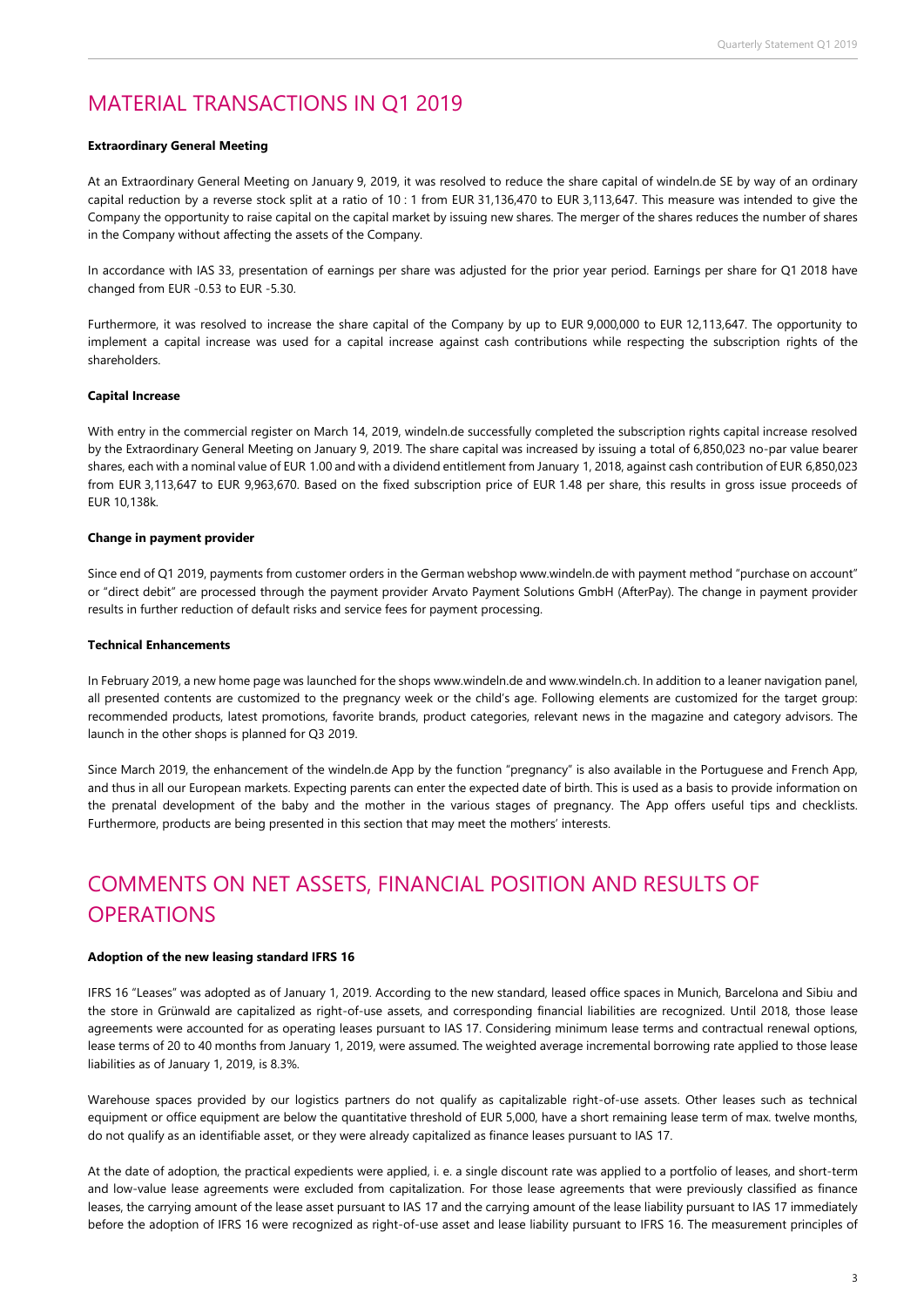### MATERIAL TRANSACTIONS IN Q1 2019

#### **Extraordinary General Meeting**

At an Extraordinary General Meeting on January 9, 2019, it was resolved to reduce the share capital of windeln.de SE by way of an ordinary capital reduction by a reverse stock split at a ratio of 10 : 1 from EUR 31,136,470 to EUR 3,113,647. This measure was intended to give the Company the opportunity to raise capital on the capital market by issuing new shares. The merger of the shares reduces the number of shares in the Company without affecting the assets of the Company.

In accordance with IAS 33, presentation of earnings per share was adjusted for the prior year period. Earnings per share for Q1 2018 have changed from EUR -0.53 to EUR -5.30.

Furthermore, it was resolved to increase the share capital of the Company by up to EUR 9,000,000 to EUR 12,113,647. The opportunity to implement a capital increase was used for a capital increase against cash contributions while respecting the subscription rights of the shareholders.

#### **Capital Increase**

With entry in the commercial register on March 14, 2019, windeln.de successfully completed the subscription rights capital increase resolved by the Extraordinary General Meeting on January 9, 2019. The share capital was increased by issuing a total of 6,850,023 no-par value bearer shares, each with a nominal value of EUR 1.00 and with a dividend entitlement from January 1, 2018, against cash contribution of EUR 6,850,023 from EUR 3,113,647 to EUR 9,963,670. Based on the fixed subscription price of EUR 1.48 per share, this results in gross issue proceeds of EUR 10,138k.

#### **Change in payment provider**

Since end of Q1 2019, payments from customer orders in the German webshop www.windeln.de with payment method "purchase on account" or "direct debit" are processed through the payment provider Arvato Payment Solutions GmbH (AfterPay). The change in payment provider results in further reduction of default risks and service fees for payment processing.

#### **Technical Enhancements**

In February 2019, a new home page was launched for the shop[s www.windeln.de](http://www.windeln.de/) an[d www.windeln.ch.](http://www.windeln.ch/) In addition to a leaner navigation panel, all presented contents are customized to the pregnancy week or the child's age. Following elements are customized for the target group: recommended products, latest promotions, favorite brands, product categories, relevant news in the magazine and category advisors. The launch in the other shops is planned for Q3 2019.

Since March 2019, the enhancement of the windeln.de App by the function "pregnancy" is also available in the Portuguese and French App, and thus in all our European markets. Expecting parents can enter the expected date of birth. This is used as a basis to provide information on the prenatal development of the baby and the mother in the various stages of pregnancy. The App offers useful tips and checklists. Furthermore, products are being presented in this section that may meet the mothers' interests.

# COMMENTS ON NET ASSETS, FINANCIAL POSITION AND RESULTS OF **OPERATIONS**

#### **Adoption of the new leasing standard IFRS 16**

IFRS 16 "Leases" was adopted as of January 1, 2019. According to the new standard, leased office spaces in Munich, Barcelona and Sibiu and the store in Grünwald are capitalized as right-of-use assets, and corresponding financial liabilities are recognized. Until 2018, those lease agreements were accounted for as operating leases pursuant to IAS 17. Considering minimum lease terms and contractual renewal options, lease terms of 20 to 40 months from January 1, 2019, were assumed. The weighted average incremental borrowing rate applied to those lease liabilities as of January 1, 2019, is 8.3%.

Warehouse spaces provided by our logistics partners do not qualify as capitalizable right-of-use assets. Other leases such as technical equipment or office equipment are below the quantitative threshold of EUR 5,000, have a short remaining lease term of max. twelve months, do not qualify as an identifiable asset, or they were already capitalized as finance leases pursuant to IAS 17.

At the date of adoption, the practical expedients were applied, i. e. a single discount rate was applied to a portfolio of leases, and short-term and low-value lease agreements were excluded from capitalization. For those lease agreements that were previously classified as finance leases, the carrying amount of the lease asset pursuant to IAS 17 and the carrying amount of the lease liability pursuant to IAS 17 immediately before the adoption of IFRS 16 were recognized as right-of-use asset and lease liability pursuant to IFRS 16. The measurement principles of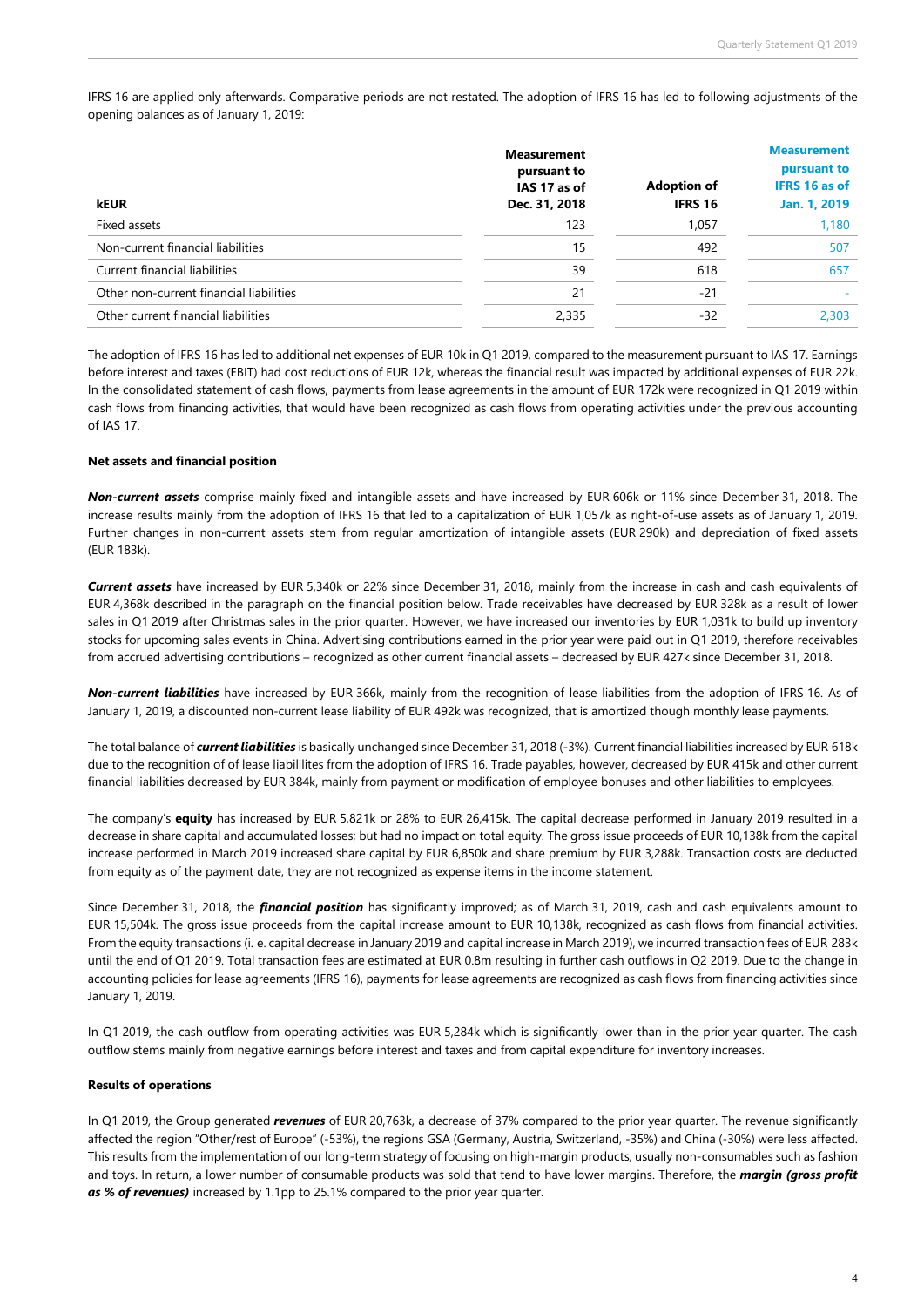IFRS 16 are applied only afterwards. Comparative periods are not restated. The adoption of IFRS 16 has led to following adjustments of the opening balances as of January 1, 2019:

|                                         | <b>Measurement</b><br>pursuant to | <b>Measurement</b><br>pursuant to |                      |
|-----------------------------------------|-----------------------------------|-----------------------------------|----------------------|
|                                         | IAS 17 as of                      | <b>Adoption of</b>                | <b>IFRS 16 as of</b> |
| <b>kEUR</b>                             | Dec. 31, 2018                     | <b>IFRS 16</b>                    | Jan. 1, 2019         |
| Fixed assets                            | 123                               | 1,057                             | 1,180                |
| Non-current financial liabilities       | 15                                | 492                               | 507                  |
| Current financial liabilities           | 39                                | 618                               | 657                  |
| Other non-current financial liabilities | 21                                | $-21$                             |                      |
| Other current financial liabilities     | 2,335                             | $-32$                             | 2.303                |

The adoption of IFRS 16 has led to additional net expenses of EUR 10k in Q1 2019, compared to the measurement pursuant to IAS 17. Earnings before interest and taxes (EBIT) had cost reductions of EUR 12k, whereas the financial result was impacted by additional expenses of EUR 22k. In the consolidated statement of cash flows, payments from lease agreements in the amount of EUR 172k were recognized in Q1 2019 within cash flows from financing activities, that would have been recognized as cash flows from operating activities under the previous accounting of IAS 17.

#### **Net assets and financial position**

*Non-current assets* comprise mainly fixed and intangible assets and have increased by EUR 606k or 11% since December 31, 2018. The increase results mainly from the adoption of IFRS 16 that led to a capitalization of EUR 1,057k as right-of-use assets as of January 1, 2019. Further changes in non-current assets stem from regular amortization of intangible assets (EUR 290k) and depreciation of fixed assets (EUR 183k).

*Current assets* have increased by EUR 5,340k or 22% since December 31, 2018, mainly from the increase in cash and cash equivalents of EUR 4,368k described in the paragraph on the financial position below. Trade receivables have decreased by EUR 328k as a result of lower sales in Q1 2019 after Christmas sales in the prior quarter. However, we have increased our inventories by EUR 1,031k to build up inventory stocks for upcoming sales events in China. Advertising contributions earned in the prior year were paid out in Q1 2019, therefore receivables from accrued advertising contributions – recognized as other current financial assets – decreased by EUR 427k since December 31, 2018.

*Non-current liabilities* have increased by EUR 366k, mainly from the recognition of lease liabilities from the adoption of IFRS 16. As of January 1, 2019, a discounted non-current lease liability of EUR 492k was recognized, that is amortized though monthly lease payments.

The total balance of *current liabilities* is basically unchanged since December 31, 2018 (-3%). Current financial liabilities increased by EUR 618k due to the recognition of of lease liabililites from the adoption of IFRS 16. Trade payables, however, decreased by EUR 415k and other current financial liabilities decreased by EUR 384k, mainly from payment or modification of employee bonuses and other liabilities to employees.

The company's **equity** has increased by EUR 5,821k or 28% to EUR 26,415k. The capital decrease performed in January 2019 resulted in a decrease in share capital and accumulated losses; but had no impact on total equity. The gross issue proceeds of EUR 10,138k from the capital increase performed in March 2019 increased share capital by EUR 6,850k and share premium by EUR 3,288k. Transaction costs are deducted from equity as of the payment date, they are not recognized as expense items in the income statement.

Since December 31, 2018, the *financial position* has significantly improved; as of March 31, 2019, cash and cash equivalents amount to EUR 15,504k. The gross issue proceeds from the capital increase amount to EUR 10,138k, recognized as cash flows from financial activities. From the equity transactions (i. e. capital decrease in January 2019 and capital increase in March 2019), we incurred transaction fees of EUR 283k until the end of Q1 2019. Total transaction fees are estimated at EUR 0.8m resulting in further cash outflows in Q2 2019. Due to the change in accounting policies for lease agreements (IFRS 16), payments for lease agreements are recognized as cash flows from financing activities since January 1, 2019.

In Q1 2019, the cash outflow from operating activities was EUR 5,284k which is significantly lower than in the prior year quarter. The cash outflow stems mainly from negative earnings before interest and taxes and from capital expenditure for inventory increases.

#### **Results of operations**

In Q1 2019, the Group generated *revenues* of EUR 20,763k, a decrease of 37% compared to the prior year quarter. The revenue significantly affected the region "Other/rest of Europe" (-53%), the regions GSA (Germany, Austria, Switzerland, -35%) and China (-30%) were less affected. This results from the implementation of our long-term strategy of focusing on high-margin products, usually non-consumables such as fashion and toys. In return, a lower number of consumable products was sold that tend to have lower margins. Therefore, the *margin (gross profit as % of revenues)* increased by 1.1pp to 25.1% compared to the prior year quarter.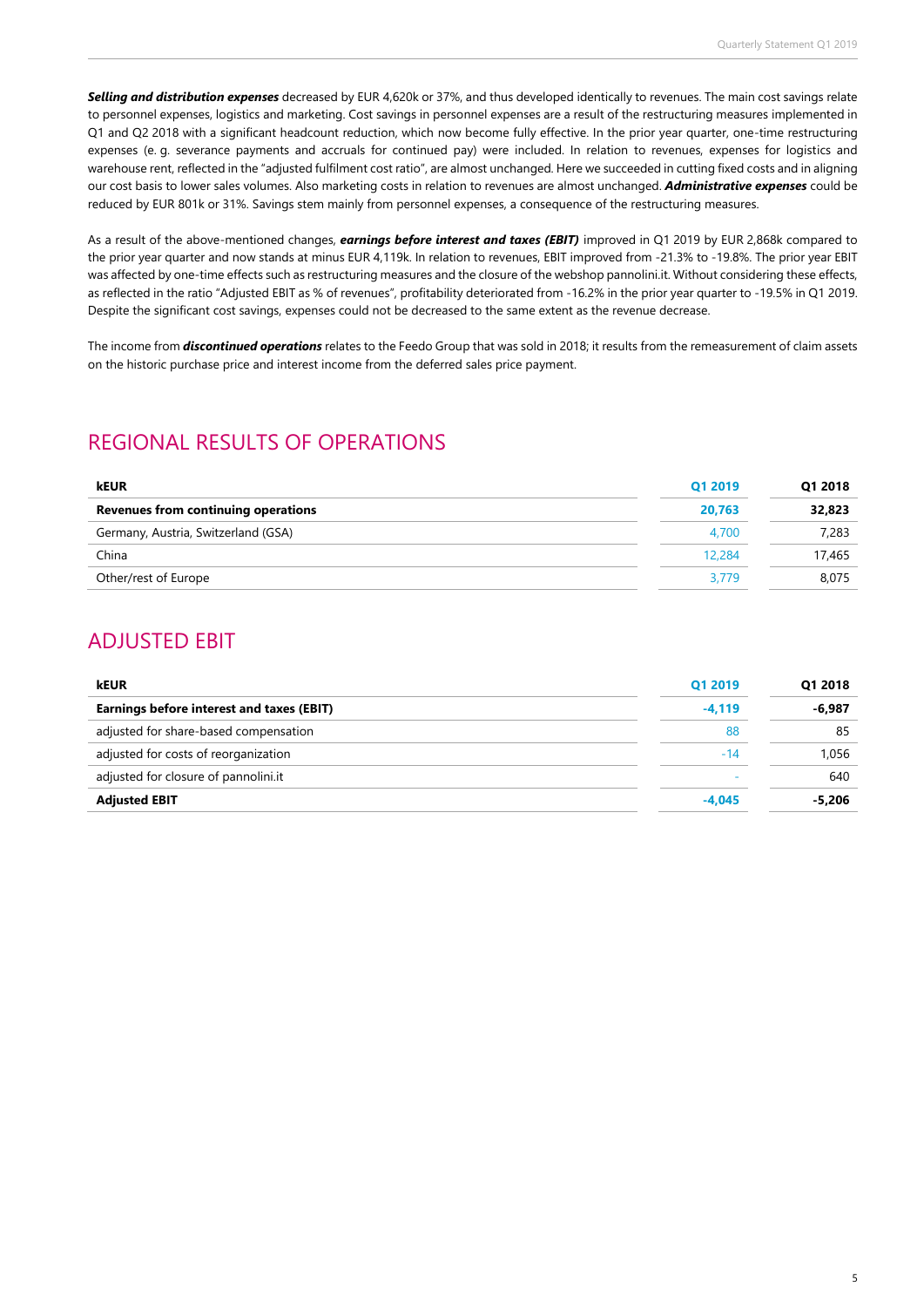*Selling and distribution expenses* decreased by EUR 4,620k or 37%, and thus developed identically to revenues. The main cost savings relate to personnel expenses, logistics and marketing. Cost savings in personnel expenses are a result of the restructuring measures implemented in Q1 and Q2 2018 with a significant headcount reduction, which now become fully effective. In the prior year quarter, one-time restructuring expenses (e. g. severance payments and accruals for continued pay) were included. In relation to revenues, expenses for logistics and warehouse rent, reflected in the "adjusted fulfilment cost ratio", are almost unchanged. Here we succeeded in cutting fixed costs and in aligning our cost basis to lower sales volumes. Also marketing costs in relation to revenues are almost unchanged. *Administrative expenses* could be reduced by EUR 801k or 31%. Savings stem mainly from personnel expenses, a consequence of the restructuring measures.

As a result of the above-mentioned changes, *earnings before interest and taxes (EBIT)* improved in Q1 2019 by EUR 2,868k compared to the prior year quarter and now stands at minus EUR 4,119k. In relation to revenues, EBIT improved from -21.3% to -19.8%. The prior year EBIT was affected by one-time effects such as restructuring measures and the closure of the webshop pannolini.it. Without considering these effects, as reflected in the ratio "Adjusted EBIT as % of revenues", profitability deteriorated from -16.2% in the prior year quarter to -19.5% in Q1 2019. Despite the significant cost savings, expenses could not be decreased to the same extent as the revenue decrease.

The income from *discontinued operations* relates to the Feedo Group that was sold in 2018; it results from the remeasurement of claim assets on the historic purchase price and interest income from the deferred sales price payment.

### REGIONAL RESULTS OF OPERATIONS

| <b>kEUR</b>                         | Q1 2019 | Q1 2018 |
|-------------------------------------|---------|---------|
| Revenues from continuing operations | 20.763  | 32,823  |
| Germany, Austria, Switzerland (GSA) | 4.700   | 7,283   |
| China                               | 12,284  | 17,465  |
| Other/rest of Europe                | 3.779   | 8,075   |

### ADJUSTED EBIT

| <b>kEUR</b>                               | Q1 2019  | Q1 2018  |
|-------------------------------------------|----------|----------|
| Earnings before interest and taxes (EBIT) | $-4,119$ | $-6,987$ |
| adjusted for share-based compensation     | 88       | 85       |
| adjusted for costs of reorganization      | $-14$    | 1.056    |
| adjusted for closure of pannolini.it      |          | 640      |
| <b>Adjusted EBIT</b>                      | $-4.045$ | -5.206   |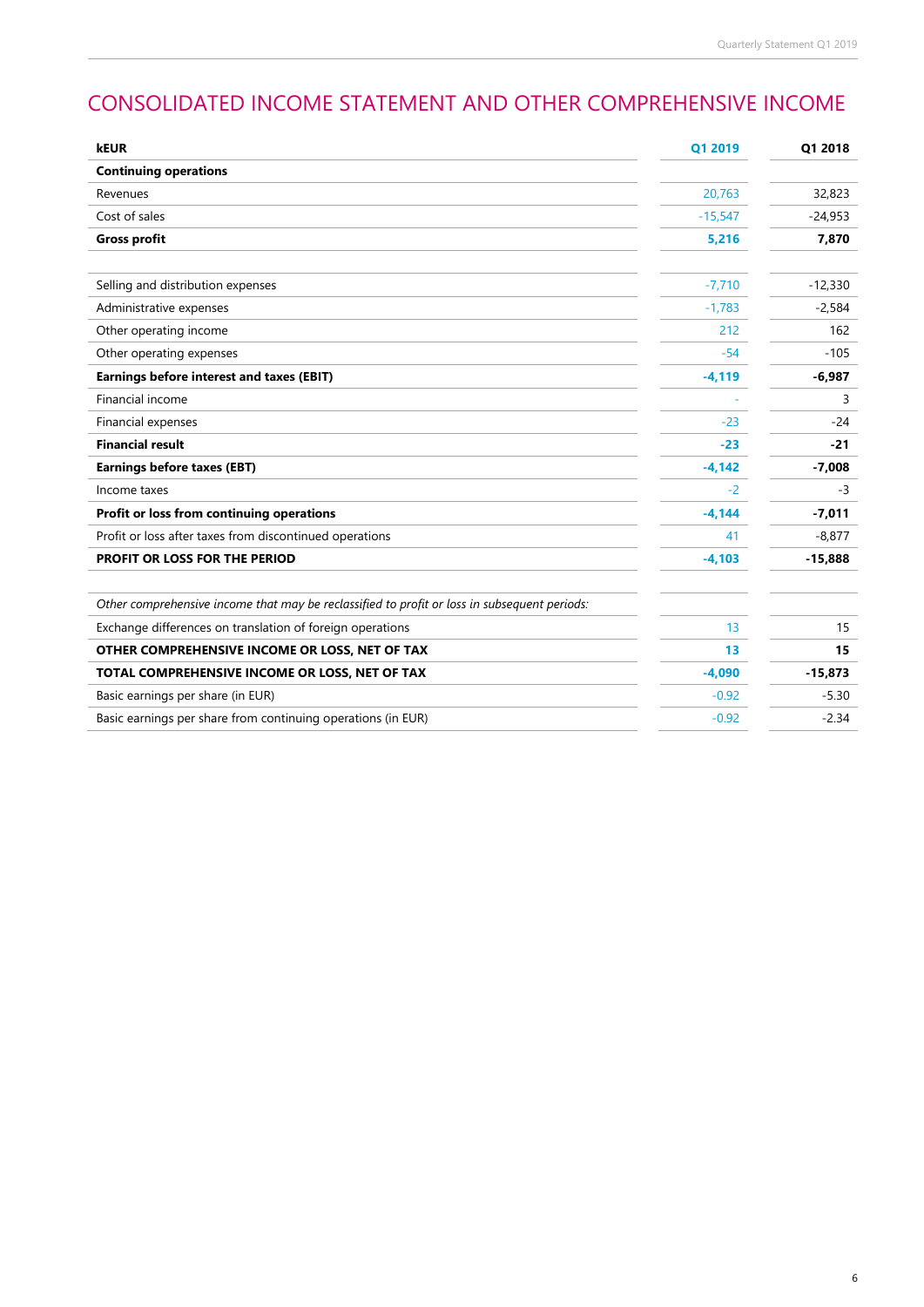# CONSOLIDATED INCOME STATEMENT AND OTHER COMPREHENSIVE INCOME

| kEUR                                                                                         | Q1 2019   | Q1 2018   |
|----------------------------------------------------------------------------------------------|-----------|-----------|
| <b>Continuing operations</b>                                                                 |           |           |
| Revenues                                                                                     | 20,763    | 32,823    |
| Cost of sales                                                                                | $-15,547$ | $-24,953$ |
| <b>Gross profit</b>                                                                          | 5,216     | 7,870     |
| Selling and distribution expenses                                                            | $-7,710$  | $-12,330$ |
|                                                                                              |           |           |
| Administrative expenses                                                                      | $-1,783$  | $-2,584$  |
| Other operating income                                                                       | 212       | 162       |
| Other operating expenses                                                                     | $-54$     | $-105$    |
| <b>Earnings before interest and taxes (EBIT)</b>                                             | $-4,119$  | $-6,987$  |
| Financial income                                                                             |           | 3         |
| Financial expenses                                                                           | $-23$     | $-24$     |
| <b>Financial result</b>                                                                      | $-23$     | $-21$     |
| Earnings before taxes (EBT)                                                                  | $-4,142$  | $-7,008$  |
| Income taxes                                                                                 | $-2$      | $-3$      |
| Profit or loss from continuing operations                                                    | $-4,144$  | $-7,011$  |
| Profit or loss after taxes from discontinued operations                                      | 41        | $-8,877$  |
| PROFIT OR LOSS FOR THE PERIOD                                                                | $-4,103$  | $-15,888$ |
| Other comprehensive income that may be reclassified to profit or loss in subsequent periods: |           |           |
| Exchange differences on translation of foreign operations                                    | 13        | 15        |
| OTHER COMPREHENSIVE INCOME OR LOSS, NET OF TAX                                               | 13        | 15        |
| TOTAL COMPREHENSIVE INCOME OR LOSS, NET OF TAX                                               | $-4,090$  | $-15,873$ |
| Basic earnings per share (in EUR)                                                            | $-0.92$   | $-5.30$   |
| Basic earnings per share from continuing operations (in EUR)                                 | $-0.92$   | $-2.34$   |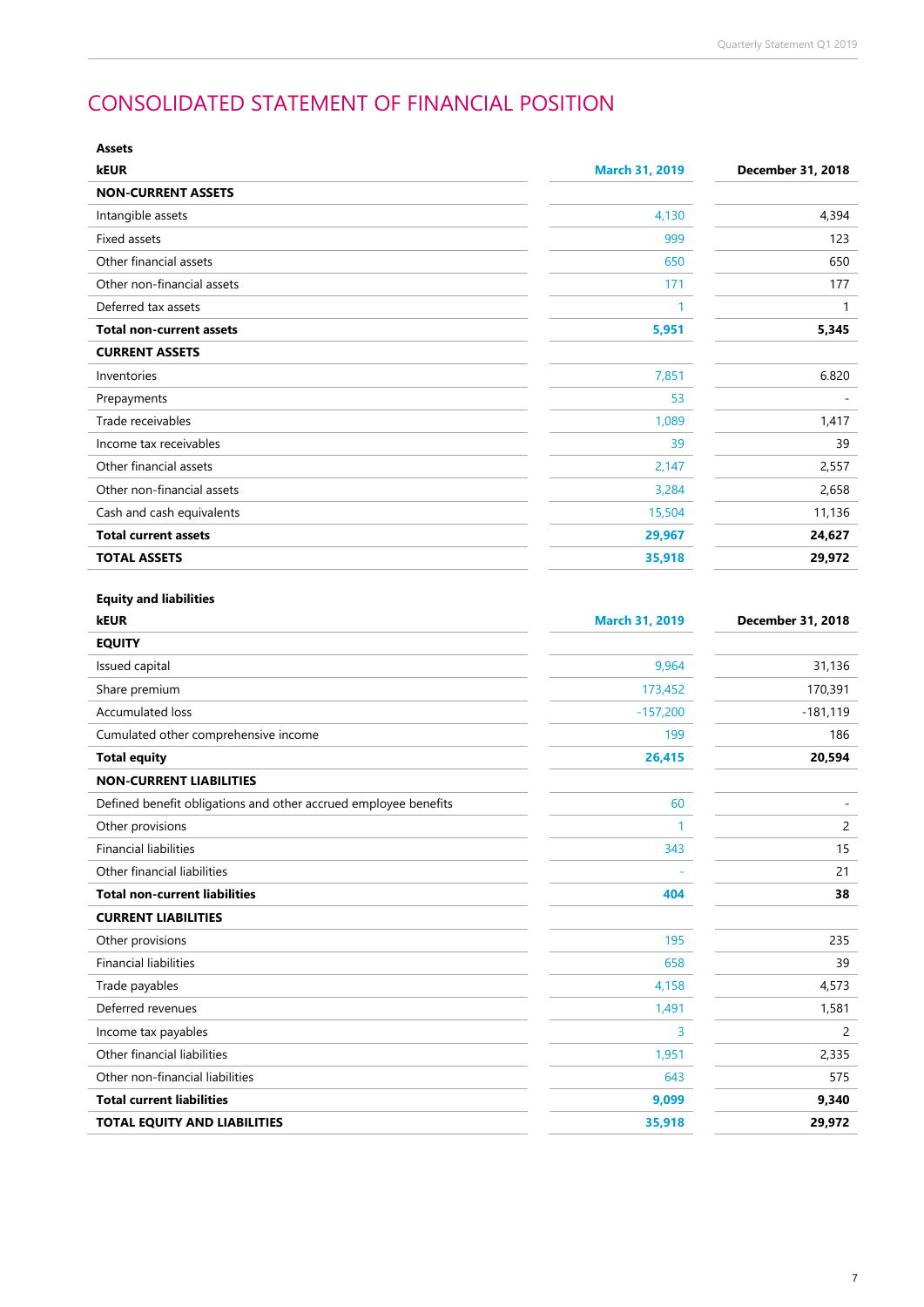# CONSOLIDATED STATEMENT OF FINANCIAL POSITION

| <b>Assets</b>                                                   |                       |                          |
|-----------------------------------------------------------------|-----------------------|--------------------------|
| <b>kEUR</b>                                                     | <b>March 31, 2019</b> | <b>December 31, 2018</b> |
| <b>NON-CURRENT ASSETS</b>                                       |                       |                          |
| Intangible assets                                               | 4,130                 | 4,394                    |
| <b>Fixed assets</b>                                             | 999                   | 123                      |
| Other financial assets                                          | 650                   | 650                      |
| Other non-financial assets                                      | 171                   | 177                      |
| Deferred tax assets                                             | $\mathbf{1}$          | $\mathbf{1}$             |
| <b>Total non-current assets</b>                                 | 5,951                 | 5,345                    |
| <b>CURRENT ASSETS</b>                                           |                       |                          |
| Inventories                                                     | 7,851                 | 6.820                    |
| Prepayments                                                     | 53                    |                          |
| Trade receivables                                               | 1,089                 | 1,417                    |
| Income tax receivables                                          | 39                    | 39                       |
| Other financial assets                                          | 2,147                 | 2,557                    |
| Other non-financial assets                                      | 3,284                 | 2,658                    |
| Cash and cash equivalents                                       | 15,504                | 11,136                   |
| <b>Total current assets</b>                                     | 29,967                | 24,627                   |
| <b>TOTAL ASSETS</b>                                             | 35,918                | 29,972                   |
| <b>Equity and liabilities</b><br><b>kEUR</b>                    | <b>March 31, 2019</b> | December 31, 2018        |
| <b>EQUITY</b>                                                   |                       |                          |
| Issued capital                                                  | 9,964                 | 31,136                   |
| Share premium                                                   | 173,452               | 170,391                  |
| <b>Accumulated loss</b>                                         | $-157,200$            | $-181,119$               |
| Cumulated other comprehensive income                            | 199                   | 186                      |
| <b>Total equity</b>                                             | 26,415                | 20,594                   |
| <b>NON-CURRENT LIABILITIES</b>                                  |                       |                          |
| Defined benefit obligations and other accrued employee benefits | 60                    |                          |
| Other provisions                                                | $\mathbf{1}$          | 2                        |
| <b>Financial liabilities</b>                                    | 343                   | 15                       |
| Other financial liabilities                                     |                       | 21                       |
| <b>Total non-current liabilities</b>                            | 404                   | 38                       |
| <b>CURRENT LIABILITIES</b>                                      |                       |                          |
| Other provisions                                                | 195                   | 235                      |
| <b>Financial liabilities</b>                                    | 658                   | 39                       |
| Trade payables                                                  | 4,158                 | 4,573                    |
| Deferred revenues                                               | 1,491                 | 1,581                    |
| Income tax payables                                             | 3                     | 2                        |
| Other financial liabilities                                     | 1,951                 | 2,335                    |
| Other non-financial liabilities                                 | 643                   | 575                      |
| <b>Total current liabilities</b>                                | 9,099                 | 9,340                    |
| TOTAL EQUITY AND LIABILITIES                                    | 35,918                | 29,972                   |

7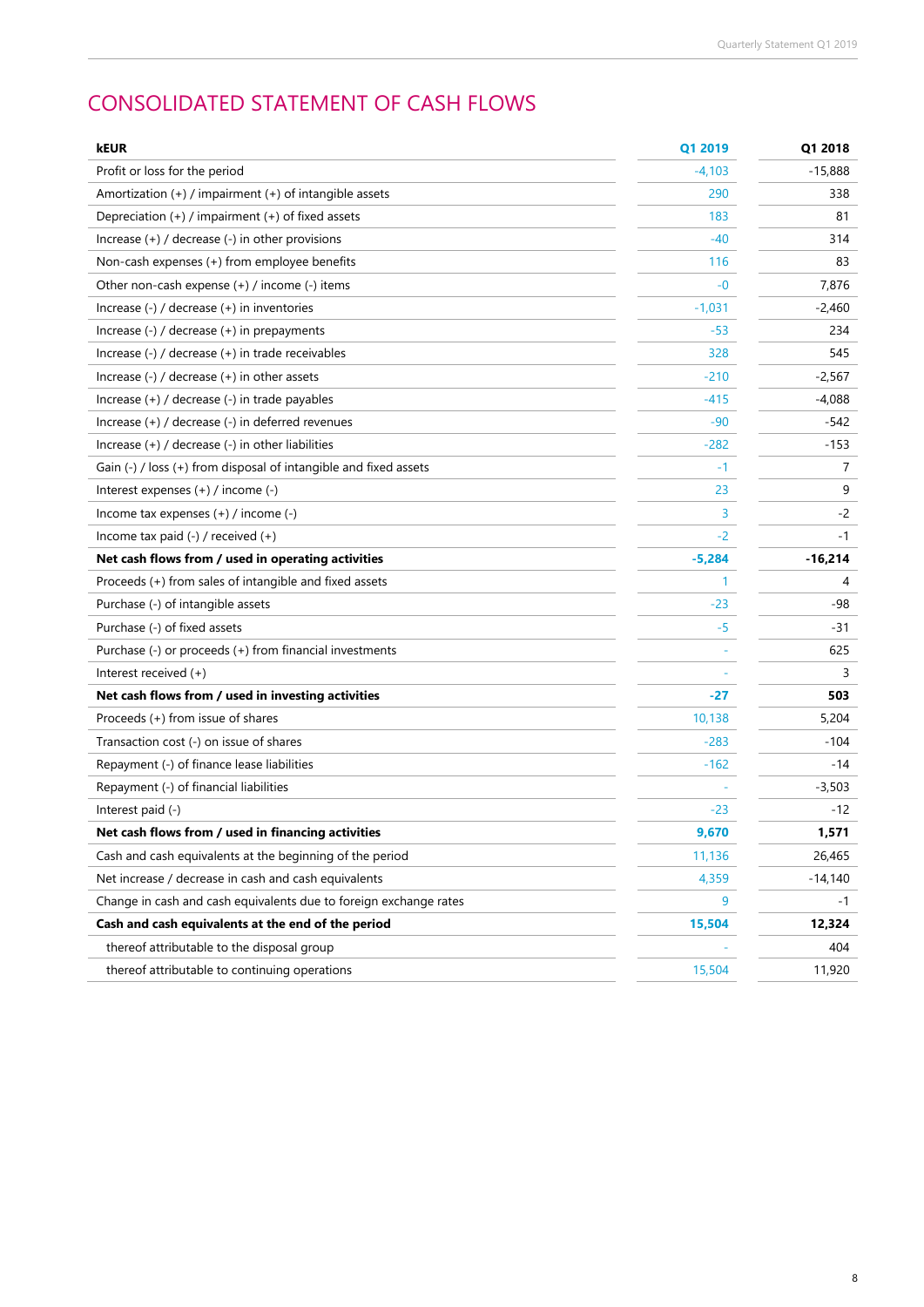# CONSOLIDATED STATEMENT OF CASH FLOWS

| kEUR                                                              | Q1 2019  | Q1 2018   |
|-------------------------------------------------------------------|----------|-----------|
| Profit or loss for the period                                     | $-4,103$ | $-15,888$ |
| Amortization $(+)$ / impairment $(+)$ of intangible assets        | 290      | 338       |
| Depreciation (+) / impairment (+) of fixed assets                 | 183      | 81        |
| Increase $(+)$ / decrease $(-)$ in other provisions               | -40      | 314       |
| Non-cash expenses (+) from employee benefits                      | 116      | 83        |
| Other non-cash expense $(+)$ / income $(-)$ items                 | $-0$     | 7,876     |
| Increase $(-)$ / decrease $(+)$ in inventories                    | $-1,031$ | $-2,460$  |
| Increase $(-)$ / decrease $(+)$ in prepayments                    | $-53$    | 234       |
| Increase (-) / decrease (+) in trade receivables                  | 328      | 545       |
| Increase $(-)$ / decrease $(+)$ in other assets                   | $-210$   | $-2,567$  |
| Increase (+) / decrease (-) in trade payables                     | -415     | -4,088    |
| Increase (+) / decrease (-) in deferred revenues                  | $-90$    | $-542$    |
| Increase $(+)$ / decrease $(-)$ in other liabilities              | $-282$   | $-153$    |
| Gain (-) / loss (+) from disposal of intangible and fixed assets  | $-1$     | 7         |
| Interest expenses (+) / income (-)                                | 23       | 9         |
| Income tax expenses $(+)$ / income $(-)$                          | 3        | $-2$      |
| Income tax paid $(-)$ / received $(+)$                            | $-2$     | $-1$      |
| Net cash flows from / used in operating activities                | $-5,284$ | $-16,214$ |
| Proceeds (+) from sales of intangible and fixed assets            | 1        | 4         |
| Purchase (-) of intangible assets                                 | -23      | -98       |
| Purchase (-) of fixed assets                                      | -5       | -31       |
| Purchase (-) or proceeds (+) from financial investments           |          | 625       |
| Interest received $(+)$                                           |          | 3         |
| Net cash flows from / used in investing activities                | -27      | 503       |
| Proceeds (+) from issue of shares                                 | 10,138   | 5,204     |
| Transaction cost (-) on issue of shares                           | $-283$   | -104      |
| Repayment (-) of finance lease liabilities                        | $-162$   | -14       |
| Repayment (-) of financial liabilities                            |          | $-3,503$  |
| Interest paid (-)                                                 | -23      | -12       |
| Net cash flows from / used in financing activities                | 9,670    | 1,571     |
| Cash and cash equivalents at the beginning of the period          | 11,136   | 26,465    |
| Net increase / decrease in cash and cash equivalents              | 4,359    | $-14,140$ |
| Change in cash and cash equivalents due to foreign exchange rates | 9        | -1        |
| Cash and cash equivalents at the end of the period                | 15,504   | 12,324    |
| thereof attributable to the disposal group                        |          | 404       |
| thereof attributable to continuing operations                     | 15,504   | 11,920    |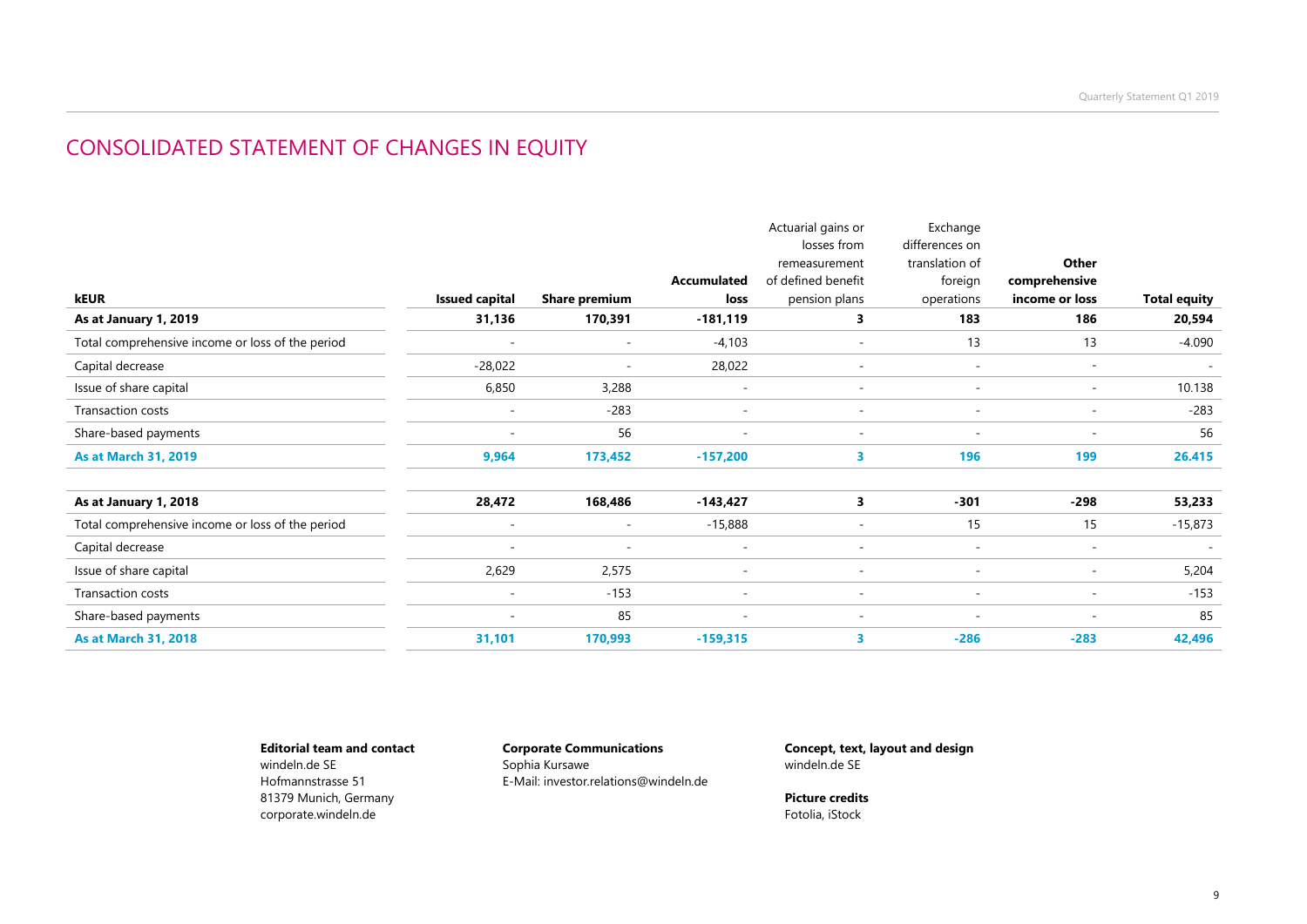### CONSOLIDATED STATEMENT OF CHANGES IN EQUITY

|                                                  |                          |                          |                          | Actuarial gains or       | Exchange                 |                          |                          |
|--------------------------------------------------|--------------------------|--------------------------|--------------------------|--------------------------|--------------------------|--------------------------|--------------------------|
|                                                  |                          |                          |                          | losses from              | differences on           |                          |                          |
|                                                  |                          |                          |                          | remeasurement            | translation of           | Other                    |                          |
|                                                  |                          |                          | <b>Accumulated</b>       | of defined benefit       | foreign                  | comprehensive            |                          |
| kEUR                                             | <b>Issued capital</b>    | <b>Share premium</b>     | loss                     | pension plans            | operations               | income or loss           | <b>Total equity</b>      |
| As at January 1, 2019                            | 31,136                   | 170,391                  | $-181,119$               | 3                        | 183                      | 186                      | 20,594                   |
| Total comprehensive income or loss of the period | $\overline{\phantom{a}}$ | $\overline{\phantom{a}}$ | $-4,103$                 | $\overline{\phantom{a}}$ | 13                       | 13                       | $-4.090$                 |
| Capital decrease                                 | $-28,022$                | $\overline{\phantom{a}}$ | 28,022                   | $\overline{\phantom{a}}$ | $\overline{\phantom{a}}$ | $\overline{\phantom{a}}$ | $\sim$                   |
| Issue of share capital                           | 6,850                    | 3,288                    | $\overline{\phantom{a}}$ | $\overline{\phantom{a}}$ | $\overline{\phantom{a}}$ | $\overline{\phantom{a}}$ | 10.138                   |
| <b>Transaction costs</b>                         |                          | $-283$                   | $\overline{\phantom{a}}$ | $\overline{\phantom{a}}$ | $\overline{\phantom{a}}$ | $\overline{\phantom{a}}$ | $-283$                   |
| Share-based payments                             | $\overline{\phantom{a}}$ | 56                       | $\overline{\phantom{a}}$ | $\overline{\phantom{a}}$ | $\overline{\phantom{a}}$ | $\overline{\phantom{a}}$ | 56                       |
| <b>As at March 31, 2019</b>                      | 9,964                    | 173,452                  | $-157,200$               | 3.                       | 196                      | 199                      | 26.415                   |
| As at January 1, 2018                            | 28,472                   | 168,486                  | -143,427                 | 3                        | $-301$                   | -298                     | 53,233                   |
| Total comprehensive income or loss of the period | $\overline{\phantom{a}}$ | $\overline{\phantom{a}}$ | $-15,888$                | $\overline{\phantom{a}}$ | 15                       | 15                       | $-15,873$                |
| Capital decrease                                 | $\overline{\phantom{a}}$ | $\overline{\phantom{a}}$ | $\overline{\phantom{a}}$ | $\overline{\phantom{a}}$ | $\sim$                   | $\overline{\phantom{a}}$ | $\overline{\phantom{a}}$ |
| Issue of share capital                           | 2,629                    | 2,575                    | $\overline{\phantom{a}}$ | $\overline{\phantom{a}}$ | $\overline{\phantom{a}}$ | $\overline{\phantom{a}}$ | 5,204                    |
| Transaction costs                                | $\sim$                   | $-153$                   | $\overline{\phantom{a}}$ | $\overline{\phantom{a}}$ | $\sim$                   | ٠                        | $-153$                   |
| Share-based payments                             | $\overline{\phantom{a}}$ | 85                       | $\overline{\phantom{a}}$ | $\sim$                   | $\sim$                   | ٠                        | 85                       |
| <b>As at March 31, 2018</b>                      | 31,101                   | 170,993                  | $-159,315$               | 3                        | $-286$                   | $-283$                   | 42,496                   |
|                                                  |                          |                          |                          |                          |                          |                          |                          |

#### **Editorial team and contact** windeln.de SE

Hofmannstrasse 51 81379 Munich, Germany corporate.windeln.de

#### **Corporate Communications** Sophia Kursawe E-Mail: investor.relations@windeln.de

**Concept, text, layout and design** windeln.de SE

**Picture credits** Fotolia, iStock